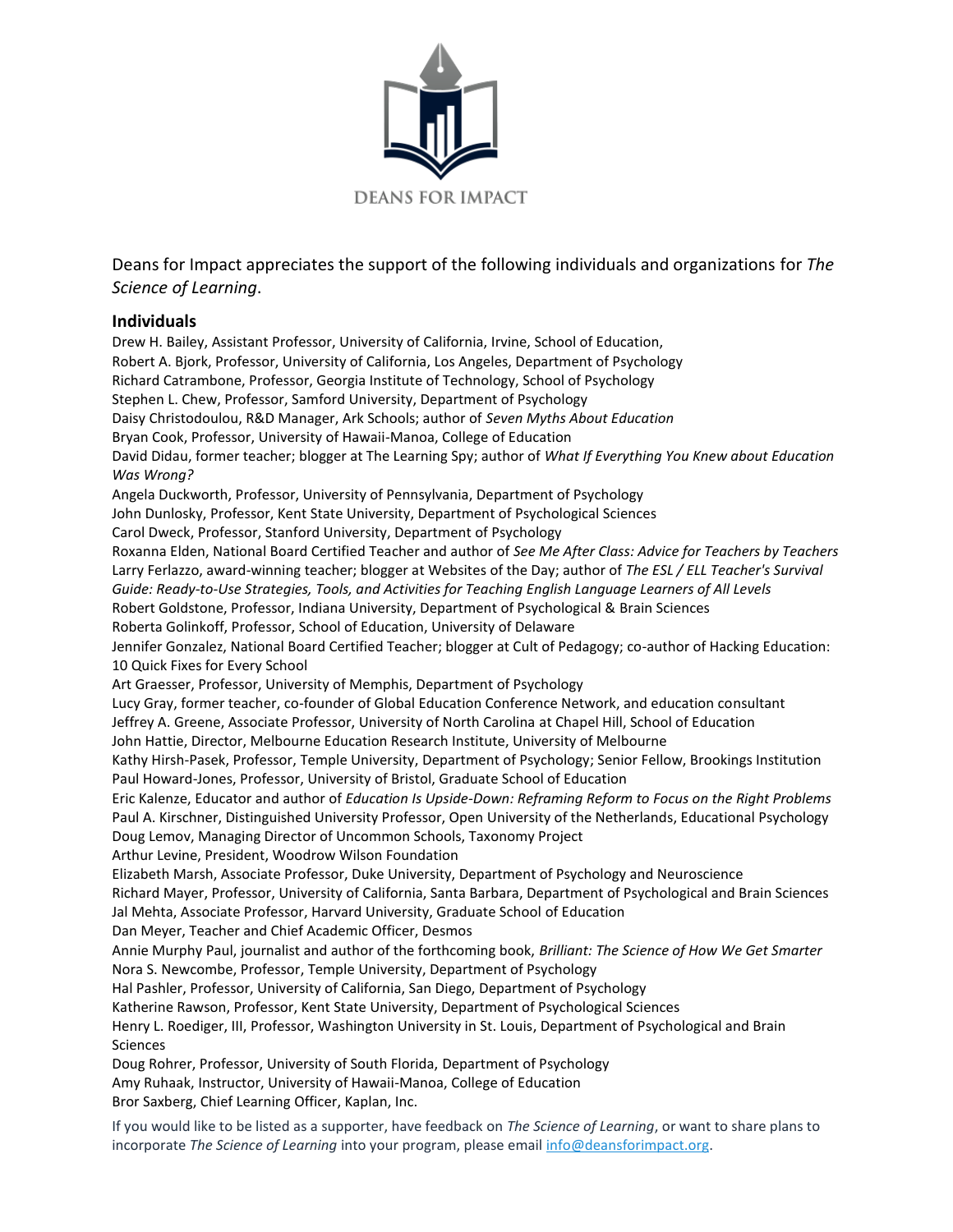

Deans for Impact appreciates the support of the following individuals and organizations for *The Science of Learning*.

## **Individuals**

Drew H. Bailey, Assistant Professor, University of California, Irvine, School of Education, Robert A. Bjork, Professor, University of California, Los Angeles, Department of Psychology Richard Catrambone, Professor, Georgia Institute of Technology, School of Psychology Stephen L. Chew, Professor, Samford University, Department of Psychology Daisy Christodoulou, R&D Manager, Ark Schools; author of *Seven Myths About Education* Bryan Cook, Professor, University of Hawaii-Manoa, College of Education David Didau, former teacher; blogger at The Learning Spy; author of *What If Everything You Knew about Education Was Wrong?* Angela Duckworth, Professor, University of Pennsylvania, Department of Psychology John Dunlosky, Professor, Kent State University, Department of Psychological Sciences Carol Dweck, Professor, Stanford University, Department of Psychology Roxanna Elden, National Board Certified Teacher and author of *See Me After Class: Advice for Teachers by Teachers* Larry Ferlazzo, award-winning teacher; blogger at Websites of the Day; author of *The ESL / ELL Teacher's Survival Guide: Ready-to-Use Strategies, Tools, and Activities for Teaching English Language Learners of All Levels* Robert Goldstone, Professor, Indiana University, Department of Psychological & Brain Sciences Roberta Golinkoff, Professor, School of Education, University of Delaware Jennifer Gonzalez, National Board Certified Teacher; blogger at Cult of Pedagogy; co-author of Hacking Education: 10 Quick Fixes for Every School Art Graesser, Professor, University of Memphis, Department of Psychology Lucy Gray, former teacher, co-founder of Global Education Conference Network, and education consultant Jeffrey A. Greene, Associate Professor, University of North Carolina at Chapel Hill, School of Education John Hattie, Director, Melbourne Education Research Institute, University of Melbourne Kathy Hirsh-Pasek, Professor, Temple University, Department of Psychology; Senior Fellow, Brookings Institution Paul Howard-Jones, Professor, University of Bristol, Graduate School of Education Eric Kalenze, Educator and author of *Education Is Upside-Down: Reframing Reform to Focus on the Right Problems* Paul A. Kirschner, Distinguished University Professor, Open University of the Netherlands, Educational Psychology Doug Lemov, Managing Director of Uncommon Schools, Taxonomy Project Arthur Levine, President, Woodrow Wilson Foundation Elizabeth Marsh, Associate Professor, Duke University, Department of Psychology and Neuroscience Richard Mayer, Professor, University of California, Santa Barbara, Department of Psychological and Brain Sciences Jal Mehta, Associate Professor, Harvard University, Graduate School of Education Dan Meyer, Teacher and Chief Academic Officer, Desmos Annie Murphy Paul, journalist and author of the forthcoming book, *Brilliant: The Science of How We Get Smarter* Nora S. Newcombe, Professor, Temple University, Department of Psychology Hal Pashler, Professor, University of California, San Diego, Department of Psychology Katherine Rawson, Professor, Kent State University, Department of Psychological Sciences Henry L. Roediger, III, Professor, Washington University in St. Louis, Department of Psychological and Brain Sciences Doug Rohrer, Professor, University of South Florida, Department of Psychology Amy Ruhaak, Instructor, University of Hawaii-Manoa, College of Education Bror Saxberg, Chief Learning Officer, Kaplan, Inc.

If you would like to be listed as a supporter, have feedback on *The Science of Learning*, or want to share plans to incorporate *The Science of Learning* into your program, please email [info@deansforimpact.org.](mailto:info@deansforimpact.org)